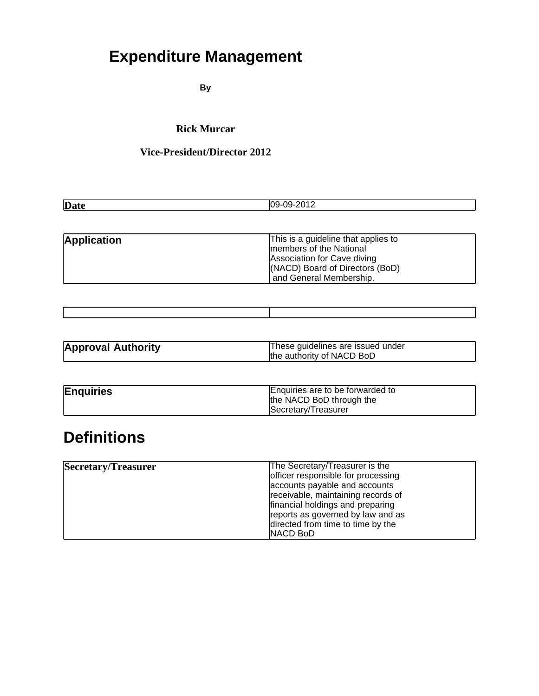# **Expenditure Management**

**By**

#### **Rick Murcar**

### **Vice-President/Director 2012**

| Date | - |
|------|---|
|      |   |

| <b>Application</b> | This is a guideline that applies to |
|--------------------|-------------------------------------|
|                    | Imembers of the National            |
|                    | Association for Cave diving         |
|                    | (NACD) Board of Directors (BoD)     |
|                    | and General Membership.             |

| <b>Approval Authority</b> | These guidelines are issued under |
|---------------------------|-----------------------------------|
|                           | the authority of NACD BoD         |

| <b>Enquiries</b> | Enquiries are to be forwarded to<br>the NACD BoD through the |
|------------------|--------------------------------------------------------------|
|                  | Secretary/Treasurer                                          |

### **Definitions**

| Secretary/Treasurer | The Secretary/Treasurer is the     |
|---------------------|------------------------------------|
|                     | officer responsible for processing |
|                     | accounts payable and accounts      |
|                     | receivable, maintaining records of |
|                     | financial holdings and preparing   |
|                     | reports as governed by law and as  |
|                     | directed from time to time by the  |
|                     | <b>INACD BoD</b>                   |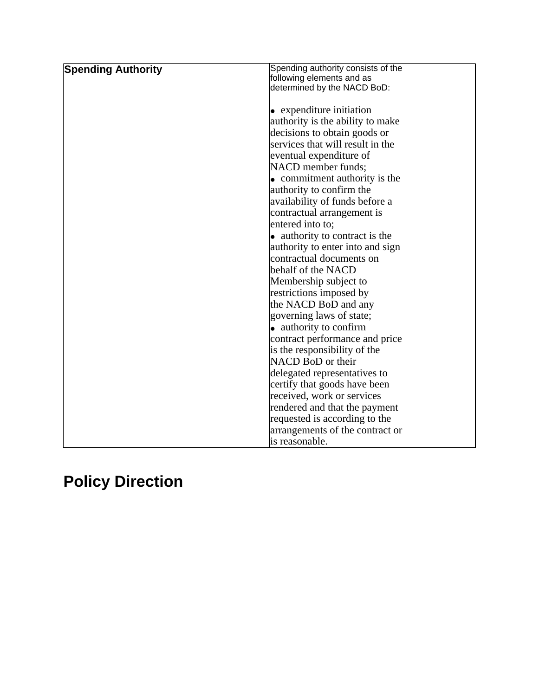| <b>Spending Authority</b> | Spending authority consists of the    |
|---------------------------|---------------------------------------|
|                           | following elements and as             |
|                           | determined by the NACD BoD:           |
|                           |                                       |
|                           | $\bullet$ expenditure initiation      |
|                           | authority is the ability to make      |
|                           | decisions to obtain goods or          |
|                           | services that will result in the      |
|                           | eventual expenditure of               |
|                           | NACD member funds;                    |
|                           | $\bullet$ commitment authority is the |
|                           | authority to confirm the              |
|                           | availability of funds before a        |
|                           | contractual arrangement is            |
|                           | entered into to:                      |
|                           | • authority to contract is the        |
|                           | authority to enter into and sign      |
|                           | contractual documents on              |
|                           | behalf of the NACD                    |
|                           | Membership subject to                 |
|                           | restrictions imposed by               |
|                           | the NACD BoD and any                  |
|                           | governing laws of state;              |
|                           | • authority to confirm                |
|                           | contract performance and price        |
|                           | is the responsibility of the          |
|                           | NACD BoD or their                     |
|                           | delegated representatives to          |
|                           | certify that goods have been          |
|                           | received, work or services            |
|                           | rendered and that the payment         |
|                           | requested is according to the         |
|                           | arrangements of the contract or       |
|                           | lis reasonable.                       |

# **Policy Direction**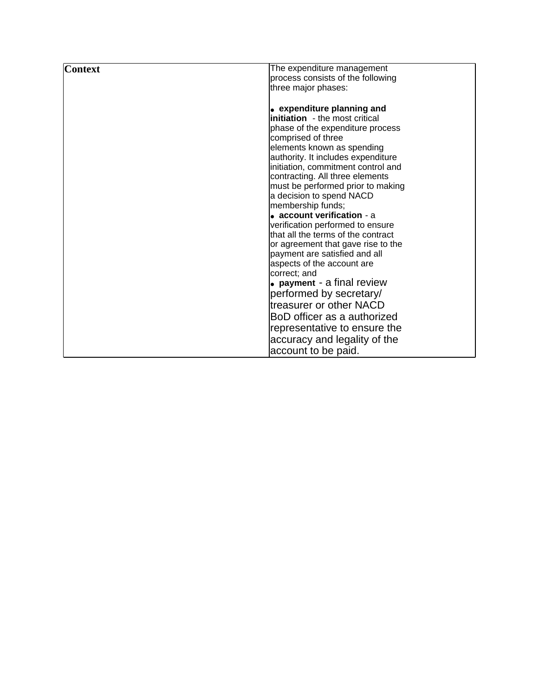| <b>Context</b> | The expenditure management                                               |
|----------------|--------------------------------------------------------------------------|
|                | process consists of the following                                        |
|                | three major phases:                                                      |
|                |                                                                          |
|                | • expenditure planning and                                               |
|                | <b>linitiation</b> - the most critical                                   |
|                | phase of the expenditure process                                         |
|                | comprised of three                                                       |
|                | elements known as spending                                               |
|                | authority. It includes expenditure<br>initiation, commitment control and |
|                | contracting. All three elements                                          |
|                | must be performed prior to making                                        |
|                | a decision to spend NACD                                                 |
|                | membership funds;                                                        |
|                | $\bullet$ account verification - a                                       |
|                | verification performed to ensure                                         |
|                | that all the terms of the contract                                       |
|                | or agreement that gave rise to the                                       |
|                | payment are satisfied and all                                            |
|                | aspects of the account are                                               |
|                | correct; and<br>$\bullet$ payment - a final review                       |
|                |                                                                          |
|                | performed by secretary/                                                  |
|                | ltreasurer or other NACD                                                 |
|                | BoD officer as a authorized                                              |
|                | representative to ensure the                                             |
|                | accuracy and legality of the                                             |
|                | account to be paid.                                                      |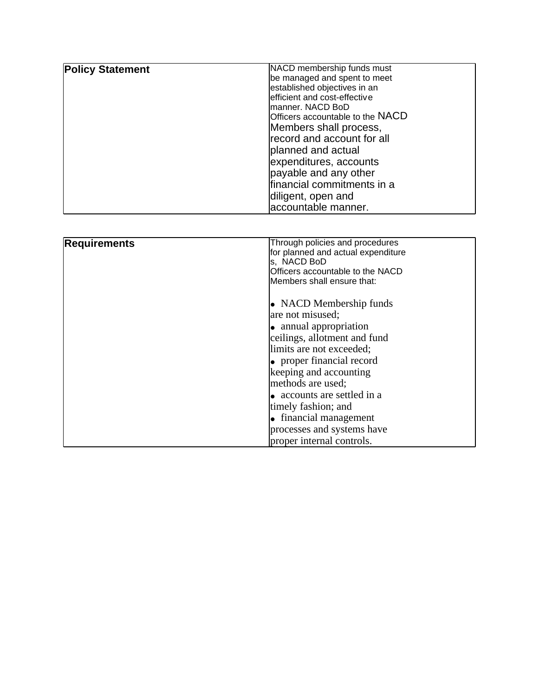| <b>Policy Statement</b> | NACD membership funds must       |
|-------------------------|----------------------------------|
|                         | be managed and spent to meet     |
|                         | established objectives in an     |
|                         | efficient and cost-effective     |
|                         | Imanner. NACD BoD                |
|                         | Officers accountable to the NACD |
|                         | Members shall process,           |
|                         | record and account for all       |
|                         | planned and actual               |
|                         | expenditures, accounts           |
|                         | payable and any other            |
|                         | financial commitments in a       |
|                         | diligent, open and               |
|                         | laccountable manner.             |

| <b>Requirements</b> | Through policies and procedures     |
|---------------------|-------------------------------------|
|                     | for planned and actual expenditure  |
|                     | ls,NACD BoD                         |
|                     | Officers accountable to the NACD    |
|                     | <b>I</b> Members shall ensure that: |
|                     |                                     |
|                     | $\bullet$ NACD Membership funds     |
|                     | are not misused;                    |
|                     | $\bullet$ annual appropriation      |
|                     | ceilings, allotment and fund        |
|                     | limits are not exceeded;            |
|                     | $\bullet$ proper financial record   |
|                     | keeping and accounting              |
|                     | methods are used;                   |
|                     | • accounts are settled in a         |
|                     | timely fashion; and                 |
|                     | $\bullet$ financial management      |
|                     | processes and systems have          |
|                     | proper internal controls.           |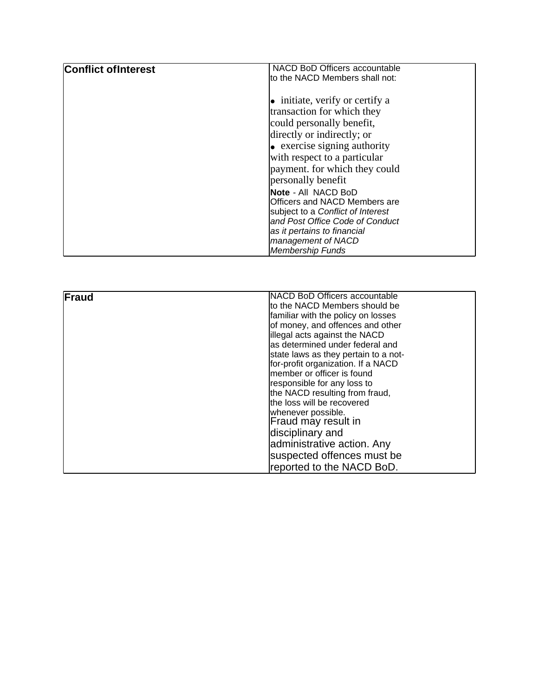| <b>Conflict of Interest</b> | NACD BoD Officers accountable<br>to the NACD Members shall not:                                                                                                                                          |
|-----------------------------|----------------------------------------------------------------------------------------------------------------------------------------------------------------------------------------------------------|
|                             | $\bullet$ initiate, verify or certify a<br>transaction for which they<br>could personally benefit,<br>directly or indirectly; or<br>$\bullet$ exercise signing authority<br>with respect to a particular |
|                             | payment. for which they could<br>personally benefit                                                                                                                                                      |
|                             | <b>Note - All NACD BoD</b><br>Officers and NACD Members are<br>subject to a Conflict of Interest<br>and Post Office Code of Conduct                                                                      |
|                             | as it pertains to financial<br>management of NACD<br><b>Membership Funds</b>                                                                                                                             |

| <b>Fraud</b> | <b>INACD BoD Officers accountable</b>    |
|--------------|------------------------------------------|
|              | to the NACD Members should be            |
|              | familiar with the policy on losses       |
|              | of money, and offences and other         |
|              | lillegal acts against the NACD           |
|              | <b>l</b> as determined under federal and |
|              | state laws as they pertain to a not-     |
|              | for-profit organization. If a NACD       |
|              | Imember or officer is found              |
|              | responsible for any loss to              |
|              | the NACD resulting from fraud,           |
|              | the loss will be recovered               |
|              | whenever possible.                       |
|              | Fraud may result in                      |
|              | disciplinary and                         |
|              | administrative action. Any               |
|              | suspected offences must be               |
|              | reported to the NACD BoD.                |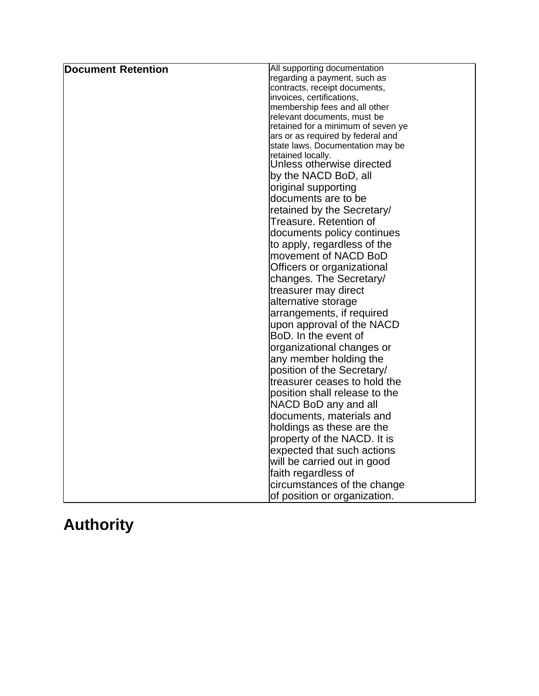| <b>Document Retention</b> | All supporting documentation                                          |
|---------------------------|-----------------------------------------------------------------------|
|                           | regarding a payment, such as                                          |
|                           | contracts, receipt documents,                                         |
|                           | invoices, certifications,                                             |
|                           | membership fees and all other                                         |
|                           | relevant documents, must be                                           |
|                           | retained for a minimum of seven ye                                    |
|                           | ars or as required by federal and<br>state laws. Documentation may be |
|                           | retained locally.                                                     |
|                           | Unless otherwise directed                                             |
|                           | by the NACD BoD, all                                                  |
|                           | original supporting                                                   |
|                           |                                                                       |
|                           | documents are to be                                                   |
|                           | retained by the Secretary/                                            |
|                           | Treasure. Retention of                                                |
|                           | documents policy continues                                            |
|                           | to apply, regardless of the                                           |
|                           | movement of NACD BoD                                                  |
|                           | Officers or organizational                                            |
|                           | changes. The Secretary/                                               |
|                           | treasurer may direct                                                  |
|                           | alternative storage                                                   |
|                           | arrangements, if required                                             |
|                           | upon approval of the NACD                                             |
|                           | BoD. In the event of                                                  |
|                           | organizational changes or                                             |
|                           | any member holding the                                                |
|                           | position of the Secretary/                                            |
|                           |                                                                       |
|                           | treasurer ceases to hold the                                          |
|                           | position shall release to the                                         |
|                           | NACD BoD any and all                                                  |
|                           | documents, materials and                                              |
|                           | holdings as these are the                                             |
|                           | property of the NACD. It is                                           |
|                           | expected that such actions                                            |
|                           | will be carried out in good                                           |
|                           | faith regardless of                                                   |
|                           | circumstances of the change                                           |
|                           | of position or organization.                                          |
|                           |                                                                       |

## **Authority**